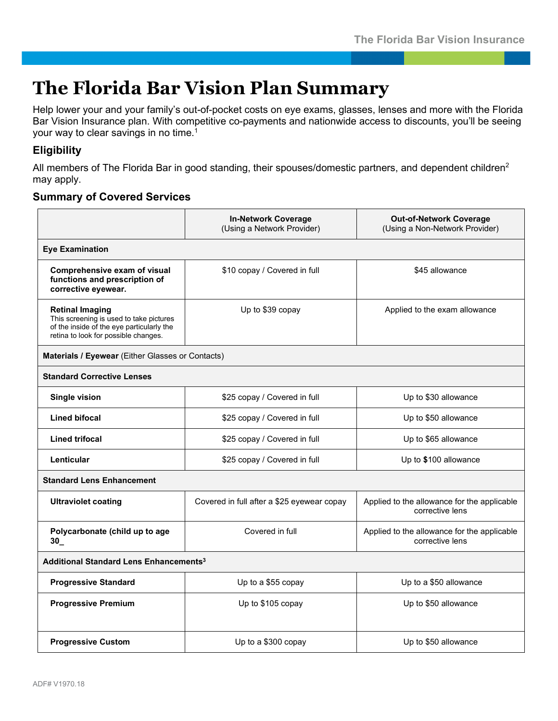## **The Florida Bar Vision Plan Summary**

Help lower your and your family's out-of-pocket costs on eye exams, glasses, lenses and more with the Florida Bar Vision Insurance plan. With competitive co-payments and nationwide access to discounts, you'll be seeing your way to clear savings in no time.1

## **Eligibility**

All members of The Florida Bar in good standing, their spouses/domestic partners, and dependent children<sup>2</sup> may apply.

## **Summary of Covered Services**

|                                                                                                                                                        | <b>In-Network Coverage</b><br>(Using a Network Provider) | <b>Out-of-Network Coverage</b><br>(Using a Non-Network Provider) |
|--------------------------------------------------------------------------------------------------------------------------------------------------------|----------------------------------------------------------|------------------------------------------------------------------|
| <b>Eye Examination</b>                                                                                                                                 |                                                          |                                                                  |
| Comprehensive exam of visual<br>functions and prescription of<br>corrective eyewear.                                                                   | \$10 copay / Covered in full                             | \$45 allowance                                                   |
| <b>Retinal Imaging</b><br>This screening is used to take pictures<br>of the inside of the eye particularly the<br>retina to look for possible changes. | Up to \$39 copay                                         | Applied to the exam allowance                                    |
| Materials / Eyewear (Either Glasses or Contacts)                                                                                                       |                                                          |                                                                  |
| <b>Standard Corrective Lenses</b>                                                                                                                      |                                                          |                                                                  |
| <b>Single vision</b>                                                                                                                                   | \$25 copay / Covered in full                             | Up to \$30 allowance                                             |
| <b>Lined bifocal</b>                                                                                                                                   | \$25 copay / Covered in full                             | Up to \$50 allowance                                             |
| <b>Lined trifocal</b>                                                                                                                                  | \$25 copay / Covered in full                             | Up to \$65 allowance                                             |
| Lenticular                                                                                                                                             | \$25 copay / Covered in full                             | Up to \$100 allowance                                            |
| <b>Standard Lens Enhancement</b>                                                                                                                       |                                                          |                                                                  |
| <b>Ultraviolet coating</b>                                                                                                                             | Covered in full after a \$25 eyewear copay               | Applied to the allowance for the applicable<br>corrective lens   |
| Polycarbonate (child up to age<br>30                                                                                                                   | Covered in full                                          | Applied to the allowance for the applicable<br>corrective lens   |
| Additional Standard Lens Enhancements <sup>3</sup>                                                                                                     |                                                          |                                                                  |
| <b>Progressive Standard</b>                                                                                                                            | Up to a \$55 copay                                       | Up to a \$50 allowance                                           |
| <b>Progressive Premium</b>                                                                                                                             | Up to \$105 copay                                        | Up to \$50 allowance                                             |
| <b>Progressive Custom</b>                                                                                                                              | Up to a \$300 copay                                      | Up to \$50 allowance                                             |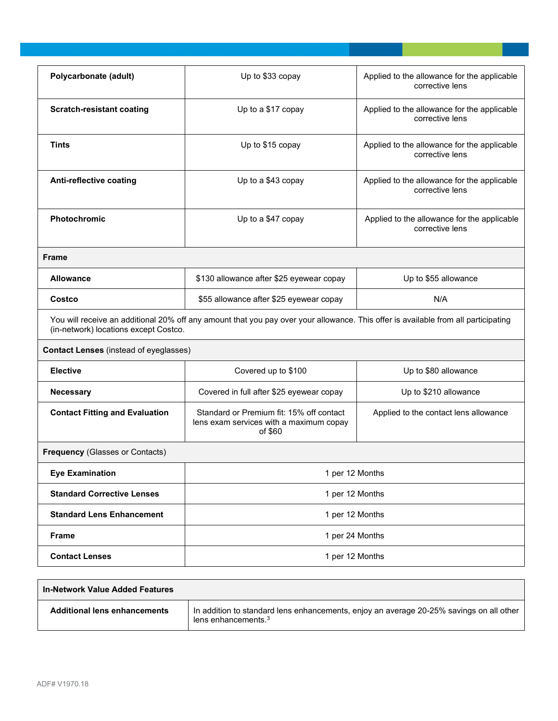| Polycarbonate (adult)                                                                                                                                                       | Up to \$33 copay                                                                               | Applied to the allowance for the applicable<br>corrective lens |  |
|-----------------------------------------------------------------------------------------------------------------------------------------------------------------------------|------------------------------------------------------------------------------------------------|----------------------------------------------------------------|--|
| <b>Scratch-resistant coating</b>                                                                                                                                            | Up to a \$17 copay                                                                             | Applied to the allowance for the applicable<br>corrective lens |  |
| <b>Tints</b>                                                                                                                                                                | Up to \$15 copay                                                                               | Applied to the allowance for the applicable<br>corrective lens |  |
| Anti-reflective coating                                                                                                                                                     | Up to a \$43 copay                                                                             | Applied to the allowance for the applicable<br>corrective lens |  |
| <b>Photochromic</b>                                                                                                                                                         | Up to a \$47 copay                                                                             | Applied to the allowance for the applicable<br>corrective lens |  |
| <b>Frame</b>                                                                                                                                                                |                                                                                                |                                                                |  |
| <b>Allowance</b>                                                                                                                                                            | \$130 allowance after \$25 eyewear copay                                                       | Up to \$55 allowance                                           |  |
| Costco                                                                                                                                                                      | \$55 allowance after \$25 eyewear copay                                                        | N/A                                                            |  |
| You will receive an additional 20% off any amount that you pay over your allowance. This offer is available from all participating<br>(in-network) locations except Costco. |                                                                                                |                                                                |  |
| <b>Contact Lenses</b> (instead of eyeglasses)                                                                                                                               |                                                                                                |                                                                |  |
| <b>Elective</b>                                                                                                                                                             | Covered up to \$100                                                                            | Up to \$80 allowance                                           |  |
| <b>Necessary</b>                                                                                                                                                            | Covered in full after \$25 eyewear copay                                                       | Up to \$210 allowance                                          |  |
| <b>Contact Fitting and Evaluation</b>                                                                                                                                       | Standard or Premium fit: 15% off contact<br>lens exam services with a maximum copay<br>of \$60 | Applied to the contact lens allowance                          |  |
| <b>Frequency (Glasses or Contacts)</b>                                                                                                                                      |                                                                                                |                                                                |  |
| <b>Eye Examination</b>                                                                                                                                                      | 1 per 12 Months                                                                                |                                                                |  |
| <b>Standard Corrective Lenses</b>                                                                                                                                           | 1 per 12 Months                                                                                |                                                                |  |
| <b>Standard Lens Enhancement</b>                                                                                                                                            | 1 per 12 Months                                                                                |                                                                |  |
| <b>Frame</b>                                                                                                                                                                | 1 per 24 Months                                                                                |                                                                |  |
|                                                                                                                                                                             | 1 per 12 Months                                                                                |                                                                |  |

| <b>In-Network Value Added Features</b> |                                                                                                                   |
|----------------------------------------|-------------------------------------------------------------------------------------------------------------------|
| <b>Additional lens enhancements</b>    | In addition to standard lens enhancements, enjoy an average 20-25% savings on all other<br>lens enhancements. $3$ |